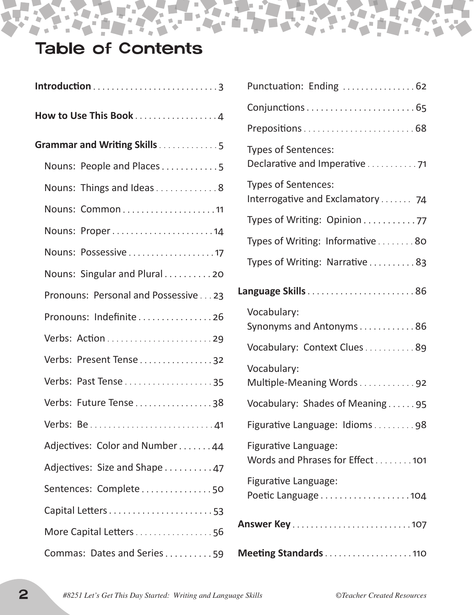# Table of Contents

| How to Use This Book 4              |
|-------------------------------------|
| Grammar and Writing Skills5         |
| Nouns: People and Places5           |
| Nouns: Things and Ideas8            |
| Nouns: Common11                     |
| Nouns: Proper14                     |
| Nouns: Possessive17                 |
| Nouns: Singular and Plural20        |
| Pronouns: Personal and Possessive23 |
| Pronouns: Indefinite 26             |
|                                     |
| Verbs: Present Tense 32             |
| Verbs: Past Tense 35                |
| Verbs: Future Tense 38              |
|                                     |
| Adjectives: Color and Number44      |
| Adjectives: Size and Shape 47       |
| Sentences: Complete50               |
|                                     |
| More Capital Letters 56             |
| Commas: Dates and Series59          |

| Punctuation: Ending  62                                 |
|---------------------------------------------------------|
|                                                         |
|                                                         |
| Types of Sentences:<br>Declarative and Imperative71     |
| Types of Sentences:<br>Interrogative and Exclamatory 74 |
| Types of Writing: Opinion 77                            |
| Types of Writing: Informative 80                        |
| Types of Writing: Narrative83                           |
| Language Skills86                                       |
| Vocabulary:<br>Synonyms and Antonyms86                  |
| Vocabulary: Context Clues89                             |
| Vocabulary:<br>Multiple-Meaning Words92                 |
| Vocabulary: Shades of Meaning95                         |
| Figurative Language: Idioms98                           |
| Figurative Language:<br>Words and Phrases for Effect101 |
| Figurative Language:                                    |
|                                                         |
| Meeting Standards110                                    |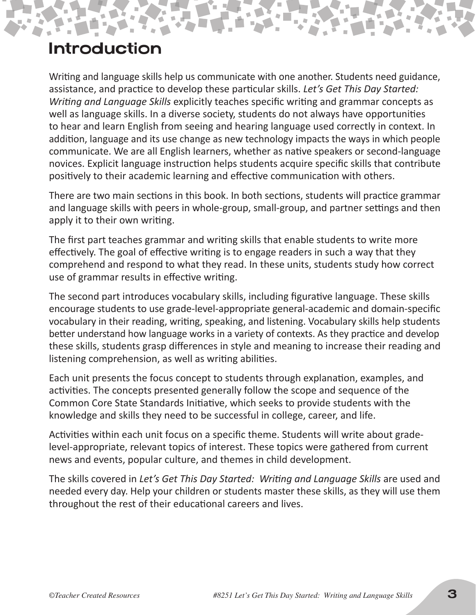### Introduction

Writing and language skills help us communicate with one another. Students need guidance, assistance, and practice to develop these particular skills. *Let's Get This Day Started: Writing and Language Skills* explicitly teaches specific writing and grammar concepts as well as language skills. In a diverse society, students do not always have opportunities to hear and learn English from seeing and hearing language used correctly in context. In addition, language and its use change as new technology impacts the ways in which people communicate. We are all English learners, whether as native speakers or second-language novices. Explicit language instruction helps students acquire specific skills that contribute positively to their academic learning and effective communication with others.

There are two main sections in this book. In both sections, students will practice grammar and language skills with peers in whole-group, small-group, and partner settings and then apply it to their own writing.

The first part teaches grammar and writing skills that enable students to write more effectively. The goal of effective writing is to engage readers in such a way that they comprehend and respond to what they read. In these units, students study how correct use of grammar results in effective writing.

The second part introduces vocabulary skills, including figurative language. These skills encourage students to use grade-level-appropriate general-academic and domain-specific vocabulary in their reading, writing, speaking, and listening. Vocabulary skills help students better understand how language works in a variety of contexts. As they practice and develop these skills, students grasp differences in style and meaning to increase their reading and listening comprehension, as well as writing abilities.

Each unit presents the focus concept to students through explanation, examples, and activities. The concepts presented generally follow the scope and sequence of the Common Core State Standards Initiative, which seeks to provide students with the knowledge and skills they need to be successful in college, career, and life.

Activities within each unit focus on a specific theme. Students will write about gradelevel-appropriate, relevant topics of interest. These topics were gathered from current news and events, popular culture, and themes in child development.

The skills covered in *Let's Get This Day Started: Writing and Language Skills* are used and needed every day. Help your children or students master these skills, as they will use them throughout the rest of their educational careers and lives.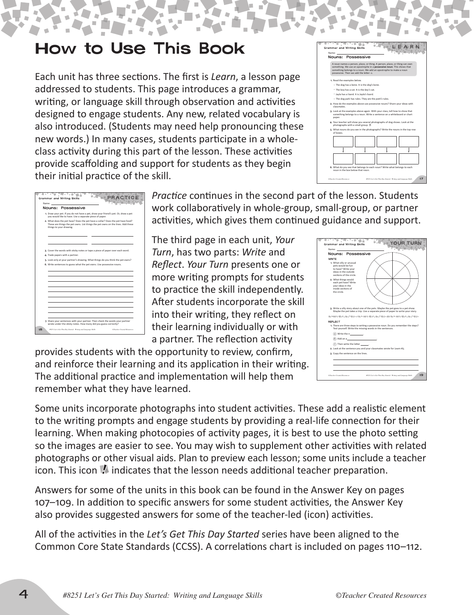### How to Use This Book

Each unit has three sections. The first is *Learn*, a lesson page addressed to students. This page introduces a grammar, writing, or language skill through observation and activities designed to engage students. Any new, related vocabulary is also introduced. (Students may need help pronouncing these new words.) In many cases, students participate in a wholeclass activity during this part of the lesson. These activities provide scaffolding and support for students as they begin their initial practice of the skill.



| <b>Grammar and Writing Skills</b><br>Name:                                                                                                                                                   |
|----------------------------------------------------------------------------------------------------------------------------------------------------------------------------------------------|
| Nouns: Possessive                                                                                                                                                                            |
| 1. Draw your pet. If you do not have a pet, draw your friend's pet. Or, draw a pet<br>you would like to have. Use a separate piece of paper.                                                 |
| 2. What does the pet have? Does the pet have a collar? Does the pet have food?<br>These are things the pet owns. List things the pet owns on the lines. Add these<br>things to your drawing. |
|                                                                                                                                                                                              |
| 3. Cover the words with sticky notes or tape a piece of paper over each word.<br>4. Trade papers with a partner.                                                                             |
| 5. Look only at your partner's drawing. What things do you think the pet owns?<br>6. Write sentences to guess what the pet owns. Use possessive nouns.                                       |
|                                                                                                                                                                                              |
|                                                                                                                                                                                              |
|                                                                                                                                                                                              |
|                                                                                                                                                                                              |
| 7. Share your sentences with your partner. Then check the words your partner<br>wrote under the sticky notes. How many did you guess correctly?                                              |
| 18<br>#8251 Let's Get This Day Started: Writing and Lawrence Skills<br>OTeacher Created Resources                                                                                            |

*Practice* continues in the second part of the lesson. Students work collaboratively in whole-group, small-group, or partner activities, which gives them continued guidance and support.

The third page in each unit, *Your Turn*, has two parts: *Write* and *Reflect*. *Your Turn* presents one or more writing prompts for students to practice the skill independently. After students incorporate the skill into their writing, they reflect on their learning individually or with a partner. The reflection activity

provides students with the opportunity to review, confirm, and reinforce their learning and its application in their writing. The additional practice and implementation will help them remember what they have learned.

Some units incorporate photographs into student activities. These add a realistic element to the writing prompts and engage students by providing a real-life connection for their learning. When making photocopies of activity pages, it is best to use the photo setting so the images are easier to see. You may wish to supplement other activities with related photographs or other visual aids. Plan to preview each lesson; some units include a teacher icon. This icon  $\blacksquare$  indicates that the lesson needs additional teacher preparation.

Answers for some of the units in this book can be found in the Answer Key on pages 107–109. In addition to specific answers for some student activities, the Answer Key also provides suggested answers for some of the teacher-led (icon) activities.

All of the activities in the *Let's Get This Day Started* series have been aligned to the Common Core State Standards (CCSS). A correlations chart is included on pages 110–112.

| Nouns: Possessive                                                                                                                      |                                                                                                                                                                   |
|----------------------------------------------------------------------------------------------------------------------------------------|-------------------------------------------------------------------------------------------------------------------------------------------------------------------|
| <b>WRITE</b><br>1. What silly or unusual<br>pets would be fun<br>to have? Write your<br>ideas in the outside<br>sections of the circle |                                                                                                                                                                   |
| 2. What things would<br>each pet have? Write<br>vour ideas in the<br>inside sections of<br>the circle                                  |                                                                                                                                                                   |
|                                                                                                                                        | 3. Write a silly story about one of the pets. Maybe the pet goes to a pet show.<br>Maybe the pet takes a trip. Use a separate piece of paper to write your story. |
|                                                                                                                                        | あかめる雪さっかど感わせありがら雪さっかど感わがなりがら雪さっかど感わ                                                                                                                               |
| REFLECT                                                                                                                                | 1. There are three steps to writing a possessive noun. Do you remember the steps?<br>Test yourself. Write the missing words in the sentences.                     |
| $(a)$ Write the n $\qquad \qquad$                                                                                                      |                                                                                                                                                                   |
| (b) Add an a                                                                                                                           |                                                                                                                                                                   |
| C Then write the letter .                                                                                                              |                                                                                                                                                                   |
|                                                                                                                                        | 2. Look at the sentence you and your classmates wrote for Learn #3.                                                                                               |
| 3. Copy the sentence on the lines.                                                                                                     |                                                                                                                                                                   |
|                                                                                                                                        |                                                                                                                                                                   |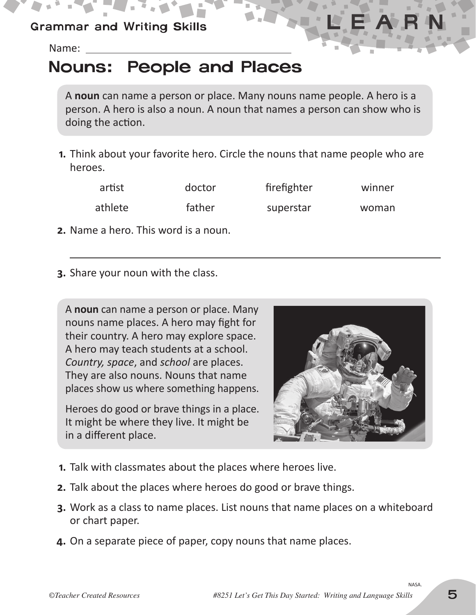### Grammar and Writing Skills

Name:

## Nouns: People and Places

A **noun** can name a person or place. Many nouns name people. A hero is a person. A hero is also a noun. A noun that names a person can show who is doing the action.

**1.** Think about your favorite hero. Circle the nouns that name people who are heroes.

| artist  | doctor | firefighter | winner |
|---------|--------|-------------|--------|
| athlete | father | superstar   | woman  |

- **2.** Name a hero. This word is a noun.
- **3.** Share your noun with the class.

A **noun** can name a person or place. Many nouns name places. A hero may fight for their country. A hero may explore space. A hero may teach students at a school. *Country, space, and school are places.* They are also nouns. Nouns that name places show us where something happens.

Heroes do good or brave things in a place. It might be where they live. It might be in a different place.



- **1.** Talk with classmates about the places where heroes live.
- **2.** Talk about the places where heroes do good or brave things.
- **3.** Work as a class to name places. List nouns that name places on a whiteboard or chart paper.
- **4.** On a separate piece of paper, copy nouns that name places.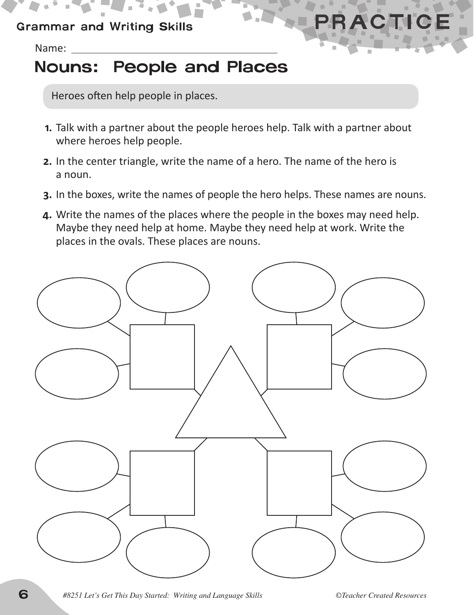#### Grammar and Writing Skills

Name:

# Nouns: People and Places

Heroes often help people in places.

- **1.** Talk with a partner about the people heroes help. Talk with a partner about where heroes help people.
- **2.** In the center triangle, write the name of a hero. The name of the hero is a noun.
- **3.** In the boxes, write the names of people the hero helps. These names are nouns.
- **4.** Write the names of the places where the people in the boxes may need help. Maybe they need help at home. Maybe they need help at work. Write the places in the ovals. These places are nouns.



6 *#8251 Let's Get This Day Started: Writing and Language Skills ©Teacher Created Resources*